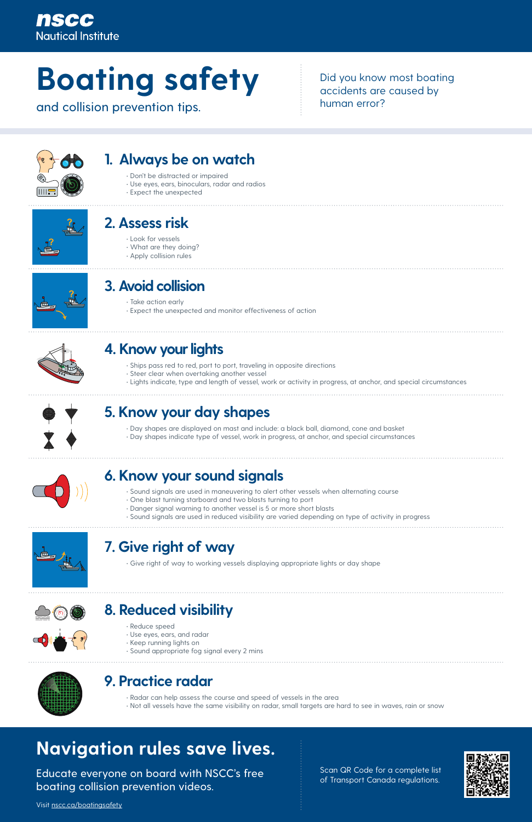### nscc **Nautical Institute**

# **Boating safety**

and collision prevention tips.

Did you know most boating accidents are caused by human error?



- Don't be distracted or impaired
- Use eyes, ears, binoculars, radar and radios
- Expect the unexpected



### **1. Always be on watch**

- Ships pass red to red, port to port, traveling in opposite directions
- Steer clear when overtaking another vessel
- Lights indicate, type and length of vessel, work or activity in progress, at anchor, and special circumstances



### **4. Know your lights**

- Reduce speed
- Use eyes, ears, and radar
- Keep running lights on
- Sound appropriate fog signal every 2 mins

### **8. Reduced visibility <sup>2</sup><sup>0</sup>**



- Look for vessels
- What are they doing?
- Apply collision rules



### **2. Assess risk**

- Day shapes are displayed on mast and include: a black ball, diamond, cone and basket
- Day shapes indicate type of vessel, work in progress, at anchor, and special circumstances



### **5. Know your day shapes**

- Take action early
- Expect the unexpected and monitor effectiveness of action



# **3. Avoid collision**

• Give right of way to working vessels displaying appropriate lights or day shape

### **7. Give right of way**

• Radar can help assess the course and speed of vessels in the area

• Not all vessels have the same visibility on radar, small targets are hard to see in waves, rain or snow

### **9. Practice radar <sup>0</sup> <sup>1</sup><sup>5</sup> <sup>3</sup><sup>0</sup> <sup>4</sup><sup>5</sup> <sup>6</sup><sup>0</sup> <sup>7</sup><sup>5</sup>**



- Sound signals are used in maneuvering to alert other vessels when alternating course
- One blast turning starboard and two blasts turning to port
- Danger signal warning to another vessel is 5 or more short blasts
- Sound signals are used in reduced visibility are varied depending on type of activity in progress



### **6. Know your sound signals**

# **Navigation rules save lives.**

Educate everyone on board with NSCC's free boating collision prevention videos.

Visit [nscc.ca/boatingsafety](http://nscc.ca/boatingsafety)

Scan QR Code for a complete list of Transport Canada regulations.